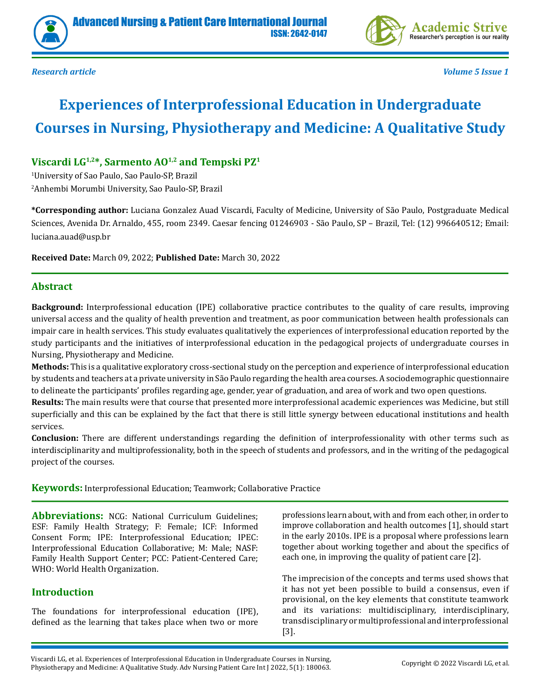



*Research article Volume 5 Issue 1*

# **Experiences of Interprofessional Education in Undergraduate Courses in Nursing, Physiotherapy and Medicine: A Qualitative Study**

# **Viscardi LG1,2\*, Sarmento AO1,2 and Tempski PZ1**

1 University of Sao Paulo, Sao Paulo-SP, Brazil 2 Anhembi Morumbi University, Sao Paulo-SP, Brazil

**\*Corresponding author:** Luciana Gonzalez Auad Viscardi, Faculty of Medicine, University of São Paulo, Postgraduate Medical Sciences, Avenida Dr. Arnaldo, 455, room 2349. Caesar fencing 01246903 - São Paulo, SP – Brazil, Tel: (12) 996640512; Email: luciana.auad@usp.br

**Received Date:** March 09, 2022; **Published Date:** March 30, 2022

# **Abstract**

**Background:** Interprofessional education (IPE) collaborative practice contributes to the quality of care results, improving universal access and the quality of health prevention and treatment, as poor communication between health professionals can impair care in health services. This study evaluates qualitatively the experiences of interprofessional education reported by the study participants and the initiatives of interprofessional education in the pedagogical projects of undergraduate courses in Nursing, Physiotherapy and Medicine.

**Methods:** This is a qualitative exploratory cross-sectional study on the perception and experience of interprofessional education by students and teachers at a private university in São Paulo regarding the health area courses. A sociodemographic questionnaire to delineate the participants' profiles regarding age, gender, year of graduation, and area of work and two open questions.

**Results:** The main results were that course that presented more interprofessional academic experiences was Medicine, but still superficially and this can be explained by the fact that there is still little synergy between educational institutions and health services.

**Conclusion:** There are different understandings regarding the definition of interprofessionality with other terms such as interdisciplinarity and multiprofessionality, both in the speech of students and professors, and in the writing of the pedagogical project of the courses.

**Keywords:** Interprofessional Education; Teamwork; Collaborative Practice

**Abbreviations:** NCG: National Curriculum Guidelines; ESF: Family Health Strategy; F: Female; ICF: Informed Consent Form; IPE: Interprofessional Education; IPEC: Interprofessional Education Collaborative; M: Male; NASF: Family Health Support Center; PCC: Patient-Centered Care; WHO: World Health Organization.

# **Introduction**

The foundations for interprofessional education (IPE), defined as the learning that takes place when two or more professions learn about, with and from each other, in order to improve collaboration and health outcomes [1], should start in the early 2010s. IPE is a proposal where professions learn together about working together and about the specifics of each one, in improving the quality of patient care [2].

The imprecision of the concepts and terms used shows that it has not yet been possible to build a consensus, even if provisional, on the key elements that constitute teamwork and its variations: multidisciplinary, interdisciplinary, transdisciplinary or multiprofessional and interprofessional [3].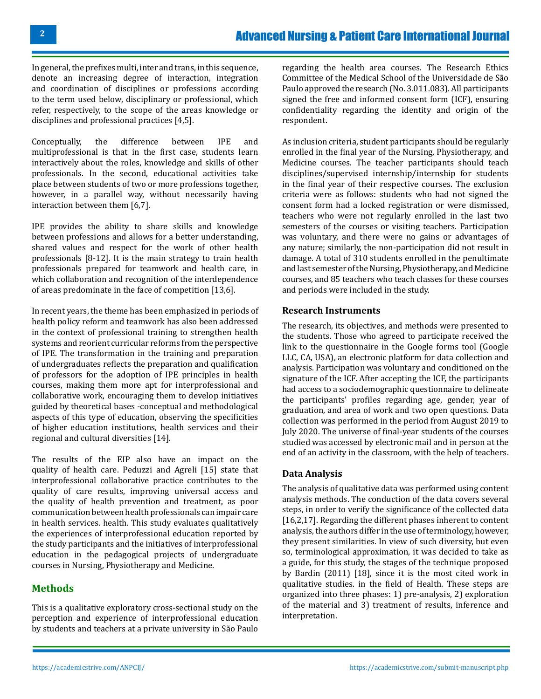In general, the prefixes multi, inter and trans, in this sequence, denote an increasing degree of interaction, integration and coordination of disciplines or professions according to the term used below, disciplinary or professional, which refer, respectively, to the scope of the areas knowledge or disciplines and professional practices [4,5].

Conceptually, the difference between IPE and multiprofessional is that in the first case, students learn interactively about the roles, knowledge and skills of other professionals. In the second, educational activities take place between students of two or more professions together, however, in a parallel way, without necessarily having interaction between them [6,7].

IPE provides the ability to share skills and knowledge between professions and allows for a better understanding, shared values and respect for the work of other health professionals [8-12]. It is the main strategy to train health professionals prepared for teamwork and health care, in which collaboration and recognition of the interdependence of areas predominate in the face of competition [13,6].

In recent years, the theme has been emphasized in periods of health policy reform and teamwork has also been addressed in the context of professional training to strengthen health systems and reorient curricular reforms from the perspective of IPE. The transformation in the training and preparation of undergraduates reflects the preparation and qualification of professors for the adoption of IPE principles in health courses, making them more apt for interprofessional and collaborative work, encouraging them to develop initiatives guided by theoretical bases -conceptual and methodological aspects of this type of education, observing the specificities of higher education institutions, health services and their regional and cultural diversities [14].

The results of the EIP also have an impact on the quality of health care. Peduzzi and Agreli [15] state that interprofessional collaborative practice contributes to the quality of care results, improving universal access and the quality of health prevention and treatment, as poor communication between health professionals can impair care in health services. health. This study evaluates qualitatively the experiences of interprofessional education reported by the study participants and the initiatives of interprofessional education in the pedagogical projects of undergraduate courses in Nursing, Physiotherapy and Medicine.

## **Methods**

This is a qualitative exploratory cross-sectional study on the perception and experience of interprofessional education by students and teachers at a private university in São Paulo

regarding the health area courses. The Research Ethics Committee of the Medical School of the Universidade de São Paulo approved the research (No. 3.011.083). All participants signed the free and informed consent form (ICF), ensuring confidentiality regarding the identity and origin of the respondent.

As inclusion criteria, student participants should be regularly enrolled in the final year of the Nursing, Physiotherapy, and Medicine courses. The teacher participants should teach disciplines/supervised internship/internship for students in the final year of their respective courses. The exclusion criteria were as follows: students who had not signed the consent form had a locked registration or were dismissed, teachers who were not regularly enrolled in the last two semesters of the courses or visiting teachers. Participation was voluntary, and there were no gains or advantages of any nature; similarly, the non-participation did not result in damage. A total of 310 students enrolled in the penultimate and last semester of the Nursing, Physiotherapy, and Medicine courses, and 85 teachers who teach classes for these courses and periods were included in the study.

#### **Research Instruments**

The research, its objectives, and methods were presented to the students. Those who agreed to participate received the link to the questionnaire in the Google forms tool (Google LLC, CA, USA), an electronic platform for data collection and analysis. Participation was voluntary and conditioned on the signature of the ICF. After accepting the ICF, the participants had access to a sociodemographic questionnaire to delineate the participants' profiles regarding age, gender, year of graduation, and area of work and two open questions. Data collection was performed in the period from August 2019 to July 2020. The universe of final-year students of the courses studied was accessed by electronic mail and in person at the end of an activity in the classroom, with the help of teachers.

#### **Data Analysis**

The analysis of qualitative data was performed using content analysis methods. The conduction of the data covers several steps, in order to verify the significance of the collected data [16,2,17]. Regarding the different phases inherent to content analysis, the authors differ in the use of terminology, however, they present similarities. In view of such diversity, but even so, terminological approximation, it was decided to take as a guide, for this study, the stages of the technique proposed by Bardin (2011) [18], since it is the most cited work in qualitative studies. in the field of Health. These steps are organized into three phases: 1) pre-analysis, 2) exploration of the material and 3) treatment of results, inference and interpretation.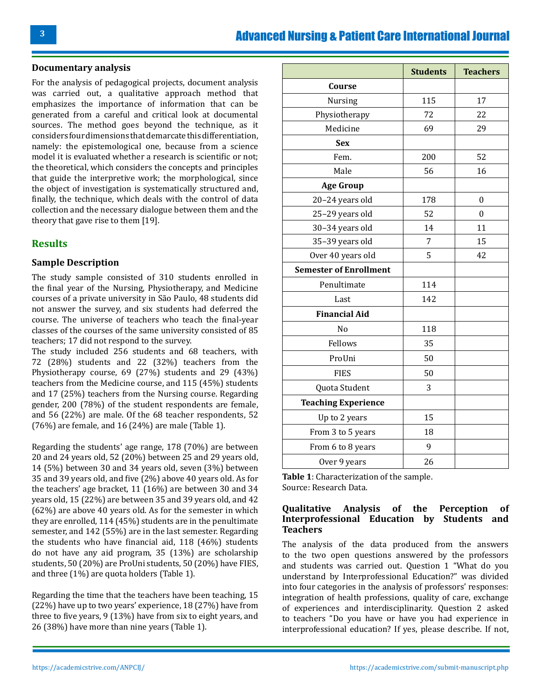#### **Documentary analysis**

For the analysis of pedagogical projects, document analysis was carried out, a qualitative approach method that emphasizes the importance of information that can be generated from a careful and critical look at documental sources. The method goes beyond the technique, as it considers four dimensions that demarcate this differentiation, namely: the epistemological one, because from a science model it is evaluated whether a research is scientific or not; the theoretical, which considers the concepts and principles that guide the interpretive work; the morphological, since the object of investigation is systematically structured and, finally, the technique, which deals with the control of data collection and the necessary dialogue between them and the theory that gave rise to them [19].

#### **Results**

#### **Sample Description**

The study sample consisted of 310 students enrolled in the final year of the Nursing, Physiotherapy, and Medicine courses of a private university in São Paulo, 48 students did not answer the survey, and six students had deferred the course. The universe of teachers who teach the final-year classes of the courses of the same university consisted of 85 teachers; 17 did not respond to the survey.

The study included 256 students and 68 teachers, with 72 (28%) students and 22 (32%) teachers from the Physiotherapy course, 69 (27%) students and 29 (43%) teachers from the Medicine course, and 115 (45%) students and 17 (25%) teachers from the Nursing course. Regarding gender, 200 (78%) of the student respondents are female, and 56 (22%) are male. Of the 68 teacher respondents, 52 (76%) are female, and 16 (24%) are male (Table 1).

Regarding the students' age range, 178 (70%) are between 20 and 24 years old, 52 (20%) between 25 and 29 years old, 14 (5%) between 30 and 34 years old, seven (3%) between 35 and 39 years old, and five (2%) above 40 years old. As for the teachers' age bracket, 11 (16%) are between 30 and 34 years old, 15 (22%) are between 35 and 39 years old, and 42 (62%) are above 40 years old. As for the semester in which they are enrolled, 114 (45%) students are in the penultimate semester, and 142 (55%) are in the last semester. Regarding the students who have financial aid, 118 (46%) students do not have any aid program, 35 (13%) are scholarship students, 50 (20%) are ProUni students, 50 (20%) have FIES, and three (1%) are quota holders (Table 1).

Regarding the time that the teachers have been teaching, 15 (22%) have up to two years' experience, 18 (27%) have from three to five years, 9 (13%) have from six to eight years, and 26 (38%) have more than nine years (Table 1).

|                               | <b>Students</b> | <b>Teachers</b>  |
|-------------------------------|-----------------|------------------|
| Course                        |                 |                  |
| Nursing                       | 115             | 17               |
| Physiotherapy                 | 72              | 22               |
| Medicine                      | 69              | 29               |
| <b>Sex</b>                    |                 |                  |
| Fem.                          | 200             | 52               |
| Male                          | 56              | 16               |
| <b>Age Group</b>              |                 |                  |
| 20-24 years old               | 178             | $\boldsymbol{0}$ |
| 25-29 years old               | 52              | $\mathbf{0}$     |
| 30-34 years old               | 14              | 11               |
| 35-39 years old               | 7               | 15               |
| Over 40 years old             | 5               | 42               |
| <b>Semester of Enrollment</b> |                 |                  |
| Penultimate                   | 114             |                  |
| Last                          | 142             |                  |
| <b>Financial Aid</b>          |                 |                  |
| No                            | 118             |                  |
| Fellows                       | 35              |                  |
| ProUni                        | 50              |                  |
| <b>FIES</b>                   | 50              |                  |
| Quota Student                 | 3               |                  |
| <b>Teaching Experience</b>    |                 |                  |
| Up to 2 years                 | 15              |                  |
| From 3 to 5 years             | 18              |                  |
| From 6 to 8 years             | 9               |                  |
| Over 9 years                  | 26              |                  |

**Table 1**: Characterization of the sample. Source: Research Data.

#### **Qualitative Analysis of the Perception of Interprofessional Education by Students and Teachers**

The analysis of the data produced from the answers to the two open questions answered by the professors and students was carried out. Question 1 "What do you understand by Interprofessional Education?" was divided into four categories in the analysis of professors' responses: integration of health professions, quality of care, exchange of experiences and interdisciplinarity. Question 2 asked to teachers "Do you have or have you had experience in interprofessional education? If yes, please describe. If not,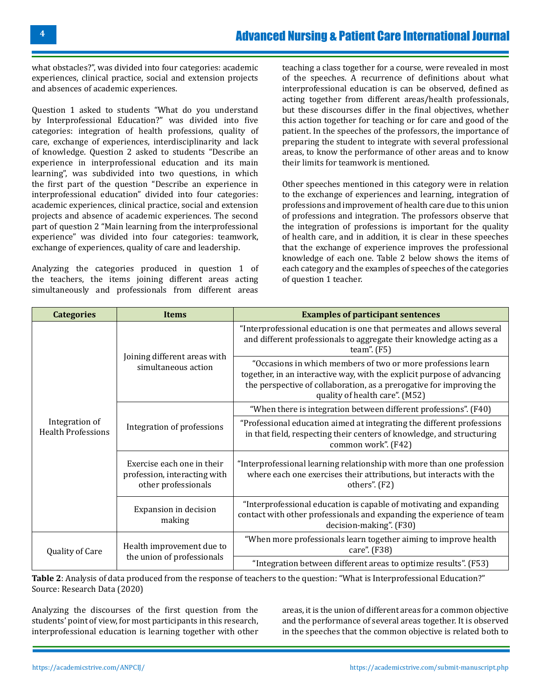what obstacles?", was divided into four categories: academic experiences, clinical practice, social and extension projects and absences of academic experiences.

Question 1 asked to students "What do you understand by Interprofessional Education?" was divided into five categories: integration of health professions, quality of care, exchange of experiences, interdisciplinarity and lack of knowledge. Question 2 asked to students "Describe an experience in interprofessional education and its main learning", was subdivided into two questions, in which the first part of the question "Describe an experience in interprofessional education" divided into four categories: academic experiences, clinical practice, social and extension projects and absence of academic experiences. The second part of question 2 "Main learning from the interprofessional experience" was divided into four categories: teamwork, exchange of experiences, quality of care and leadership.

Analyzing the categories produced in question 1 of the teachers, the items joining different areas acting simultaneously and professionals from different areas

teaching a class together for a course, were revealed in most of the speeches. A recurrence of definitions about what interprofessional education is can be observed, defined as acting together from different areas/health professionals, but these discourses differ in the final objectives, whether this action together for teaching or for care and good of the patient. In the speeches of the professors, the importance of preparing the student to integrate with several professional areas, to know the performance of other areas and to know their limits for teamwork is mentioned.

Other speeches mentioned in this category were in relation to the exchange of experiences and learning, integration of professions and improvement of health care due to this union of professions and integration. The professors observe that the integration of professions is important for the quality of health care, and in addition, it is clear in these speeches that the exchange of experience improves the professional knowledge of each one. Table 2 below shows the items of each category and the examples of speeches of the categories of question 1 teacher.

| <b>Categories</b>         | <b>Items</b>                                                                                        | <b>Examples of participant sentences</b>                                                                                                                                                                                                          |
|---------------------------|-----------------------------------------------------------------------------------------------------|---------------------------------------------------------------------------------------------------------------------------------------------------------------------------------------------------------------------------------------------------|
|                           | Joining different areas with<br>simultaneous action<br>Integration of<br>Integration of professions | "Interprofessional education is one that permeates and allows several<br>and different professionals to aggregate their knowledge acting as a<br>team". $(F5)$                                                                                    |
|                           |                                                                                                     | "Occasions in which members of two or more professions learn<br>together, in an interactive way, with the explicit purpose of advancing<br>the perspective of collaboration, as a prerogative for improving the<br>quality of health care". (M52) |
|                           |                                                                                                     | "When there is integration between different professions". (F40)                                                                                                                                                                                  |
| <b>Health Professions</b> |                                                                                                     | "Professional education aimed at integrating the different professions<br>in that field, respecting their centers of knowledge, and structuring<br>common work". (F42)                                                                            |
|                           | Exercise each one in their<br>profession, interacting with<br>other professionals                   | "Interprofessional learning relationship with more than one profession<br>where each one exercises their attributions, but interacts with the<br>others". (F2)                                                                                    |
|                           | Expansion in decision<br>making                                                                     | "Interprofessional education is capable of motivating and expanding<br>contact with other professionals and expanding the experience of team<br>decision-making". (F30)                                                                           |
| Quality of Care           | Health improvement due to                                                                           | "When more professionals learn together aiming to improve health<br>care". (F38)                                                                                                                                                                  |
|                           | the union of professionals                                                                          | "Integration between different areas to optimize results". (F53)                                                                                                                                                                                  |

**Table 2**: Analysis of data produced from the response of teachers to the question: "What is Interprofessional Education?" Source: Research Data (2020)

Analyzing the discourses of the first question from the students' point of view, for most participants in this research, interprofessional education is learning together with other areas, it is the union of different areas for a common objective and the performance of several areas together. It is observed in the speeches that the common objective is related both to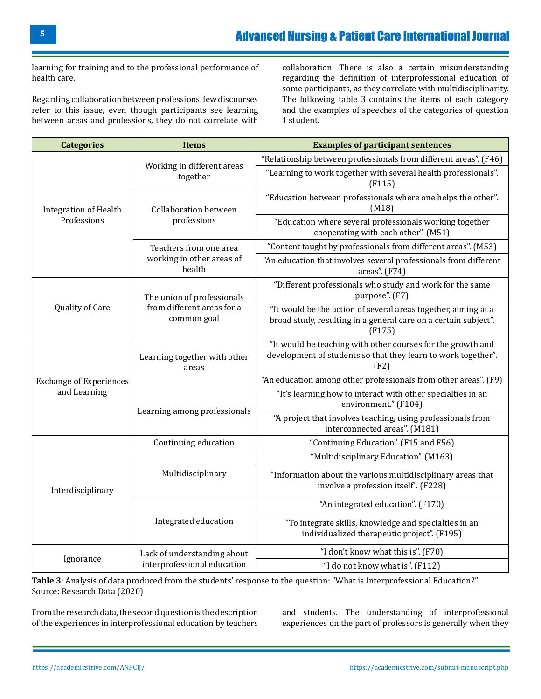learning for training and to the professional performance of health care.

Regarding collaboration between professions, few discourses refer to this issue, even though participants see learning between areas and professions, they do not correlate with

collaboration. There is also a certain misunderstanding regarding the definition of interprofessional education of some participants, as they correlate with multidisciplinarity. The following table 3 contains the items of each category and the examples of speeches of the categories of question 1 student.

| <b>Categories</b>                           | <b>Items</b>                                                            | <b>Examples of participant sentences</b>                                                                                                    |
|---------------------------------------------|-------------------------------------------------------------------------|---------------------------------------------------------------------------------------------------------------------------------------------|
| <b>Integration of Health</b><br>Professions |                                                                         | "Relationship between professionals from different areas". (F46)                                                                            |
|                                             | Working in different areas<br>together                                  | "Learning to work together with several health professionals".<br>(F115)                                                                    |
|                                             | <b>Collaboration between</b><br>professions                             | "Education between professionals where one helps the other".<br>(M18)                                                                       |
|                                             |                                                                         | "Education where several professionals working together<br>cooperating with each other". (M51)                                              |
|                                             | Teachers from one area<br>working in other areas of<br>health           | "Content taught by professionals from different areas". (M53)                                                                               |
|                                             |                                                                         | "An education that involves several professionals from different<br>areas". (F74)                                                           |
| Quality of Care                             | The union of professionals<br>from different areas for a<br>common goal | "Different professionals who study and work for the same<br>purpose". (F7)                                                                  |
|                                             |                                                                         | "It would be the action of several areas together, aiming at a<br>broad study, resulting in a general care on a certain subject".<br>(F175) |
|                                             | Learning together with other<br>areas                                   | "It would be teaching with other courses for the growth and<br>development of students so that they learn to work together".<br>(F2)        |
| <b>Exchange of Experiences</b>              |                                                                         | "An education among other professionals from other areas". (F9)                                                                             |
| and Learning                                | Learning among professionals                                            | "It's learning how to interact with other specialties in an<br>environment." (F104)                                                         |
|                                             |                                                                         | "A project that involves teaching, using professionals from<br>interconnected areas". (M181)                                                |
|                                             | Continuing education                                                    | "Continuing Education". (F15 and F56)                                                                                                       |
|                                             | Multidisciplinary                                                       | "Multidisciplinary Education". (M163)                                                                                                       |
| Interdisciplinary                           |                                                                         | "Information about the various multidisciplinary areas that<br>involve a profession itself". (F228)                                         |
|                                             | Integrated education                                                    | "An integrated education". (F170)                                                                                                           |
|                                             |                                                                         | "To integrate skills, knowledge and specialties in an<br>individualized therapeutic project". (F195)                                        |
|                                             | Lack of understanding about<br>interprofessional education              | "I don't know what this is". (F70)                                                                                                          |
| Ignorance                                   |                                                                         | "I do not know what is". (F112)                                                                                                             |

**Table 3**: Analysis of data produced from the students' response to the question: "What is Interprofessional Education?" Source: Research Data (2020)

From the research data, the second question is the description of the experiences in interprofessional education by teachers and students. The understanding of interprofessional experiences on the part of professors is generally when they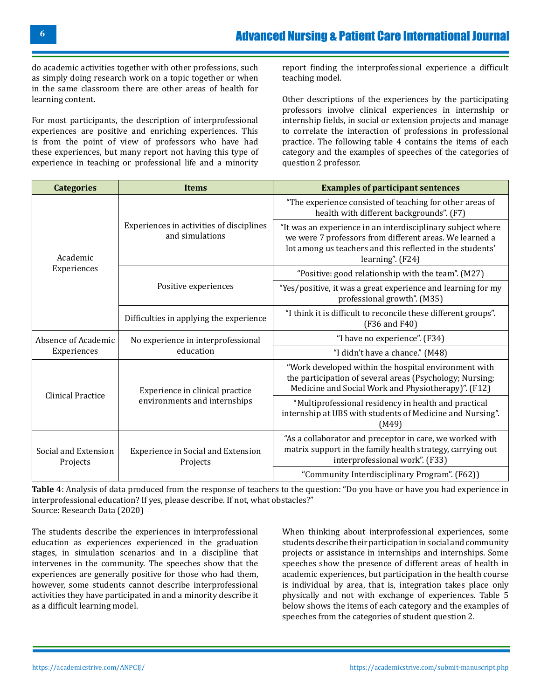do academic activities together with other professions, such as simply doing research work on a topic together or when in the same classroom there are other areas of health for learning content.

For most participants, the description of interprofessional experiences are positive and enriching experiences. This is from the point of view of professors who have had these experiences, but many report not having this type of experience in teaching or professional life and a minority report finding the interprofessional experience a difficult teaching model.

Other descriptions of the experiences by the participating professors involve clinical experiences in internship or internship fields, in social or extension projects and manage to correlate the interaction of professions in professional practice. The following table 4 contains the items of each category and the examples of speeches of the categories of question 2 professor.

| <b>Categories</b>                | <b>Items</b>                                                | <b>Examples of participant sentences</b>                                                                                                                                                                |  |
|----------------------------------|-------------------------------------------------------------|---------------------------------------------------------------------------------------------------------------------------------------------------------------------------------------------------------|--|
| Academic                         |                                                             | "The experience consisted of teaching for other areas of<br>health with different backgrounds". (F7)                                                                                                    |  |
|                                  | Experiences in activities of disciplines<br>and simulations | "It was an experience in an interdisciplinary subject where<br>we were 7 professors from different areas. We learned a<br>lot among us teachers and this reflected in the students'<br>learning". (F24) |  |
| Experiences                      |                                                             | "Positive: good relationship with the team". (M27)                                                                                                                                                      |  |
|                                  | Positive experiences                                        | "Yes/positive, it was a great experience and learning for my<br>professional growth". (M35)                                                                                                             |  |
|                                  | Difficulties in applying the experience                     | "I think it is difficult to reconcile these different groups".<br>(F36 and F40)                                                                                                                         |  |
| Absence of Academic              | No experience in interprofessional                          | "I have no experience". (F34)                                                                                                                                                                           |  |
| Experiences                      | education                                                   | "I didn't have a chance." (M48)                                                                                                                                                                         |  |
| <b>Clinical Practice</b>         | Experience in clinical practice                             | "Work developed within the hospital environment with<br>the participation of several areas (Psychology; Nursing;<br>Medicine and Social Work and Physiotherapy)". (F12)                                 |  |
|                                  | environments and internships                                | "Multiprofessional residency in health and practical<br>internship at UBS with students of Medicine and Nursing".<br>(M49)                                                                              |  |
| Social and Extension<br>Projects | Experience in Social and Extension<br>Projects              | "As a collaborator and preceptor in care, we worked with<br>matrix support in the family health strategy, carrying out<br>interprofessional work". (F33)                                                |  |
|                                  |                                                             | "Community Interdisciplinary Program". (F62))                                                                                                                                                           |  |

**Table 4**: Analysis of data produced from the response of teachers to the question: "Do you have or have you had experience in interprofessional education? If yes, please describe. If not, what obstacles?" Source: Research Data (2020)

The students describe the experiences in interprofessional education as experiences experienced in the graduation stages, in simulation scenarios and in a discipline that intervenes in the community. The speeches show that the experiences are generally positive for those who had them, however, some students cannot describe interprofessional activities they have participated in and a minority describe it as a difficult learning model.

When thinking about interprofessional experiences, some students describe their participation in social and community projects or assistance in internships and internships. Some speeches show the presence of different areas of health in academic experiences, but participation in the health course is individual by area, that is, integration takes place only physically and not with exchange of experiences. Table 5 below shows the items of each category and the examples of speeches from the categories of student question 2.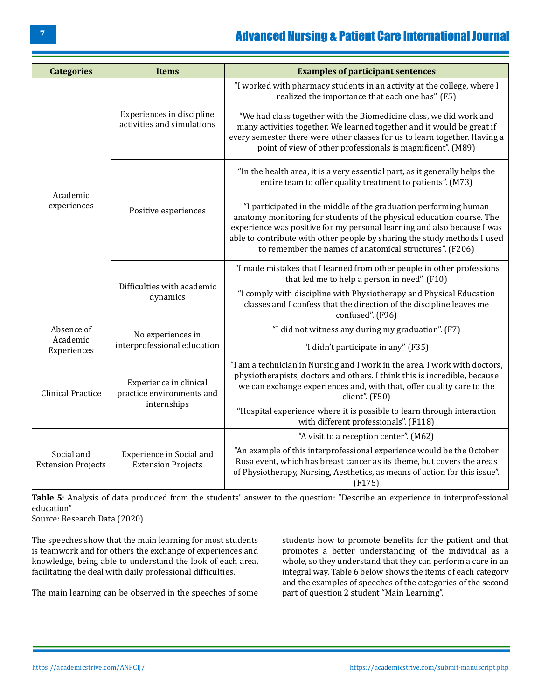# [Advanced Nursing & Patient Care International Journal](https://academicstrive.com/ANPCIJ/)

| <b>Categories</b>                       | <b>Items</b>                                                       | <b>Examples of participant sentences</b>                                                                                                                                                                                                                                                                                                                    |
|-----------------------------------------|--------------------------------------------------------------------|-------------------------------------------------------------------------------------------------------------------------------------------------------------------------------------------------------------------------------------------------------------------------------------------------------------------------------------------------------------|
| Academic<br>experiences                 | Experiences in discipline<br>activities and simulations            | "I worked with pharmacy students in an activity at the college, where I<br>realized the importance that each one has". (F5)                                                                                                                                                                                                                                 |
|                                         |                                                                    | "We had class together with the Biomedicine class, we did work and<br>many activities together. We learned together and it would be great if<br>every semester there were other classes for us to learn together. Having a<br>point of view of other professionals is magnificent". (M89)                                                                   |
|                                         |                                                                    | "In the health area, it is a very essential part, as it generally helps the<br>entire team to offer quality treatment to patients". (M73)                                                                                                                                                                                                                   |
|                                         | Positive esperiences                                               | "I participated in the middle of the graduation performing human<br>anatomy monitoring for students of the physical education course. The<br>experience was positive for my personal learning and also because I was<br>able to contribute with other people by sharing the study methods I used<br>to remember the names of anatomical structures". (F206) |
|                                         | Difficulties with academic<br>dynamics                             | "I made mistakes that I learned from other people in other professions<br>that led me to help a person in need". (F10)                                                                                                                                                                                                                                      |
|                                         |                                                                    | "I comply with discipline with Physiotherapy and Physical Education<br>classes and I confess that the direction of the discipline leaves me<br>confused". (F96)                                                                                                                                                                                             |
| Absence of                              | No experiences in                                                  | "I did not witness any during my graduation". (F7)                                                                                                                                                                                                                                                                                                          |
| Academic<br>Experiences                 | interprofessional education                                        | "I didn't participate in any." (F35)                                                                                                                                                                                                                                                                                                                        |
| <b>Clinical Practice</b>                | Experience in clinical<br>practice environments and<br>internships | "I am a technician in Nursing and I work in the area. I work with doctors,<br>physiotherapists, doctors and others. I think this is incredible, because<br>we can exchange experiences and, with that, offer quality care to the<br>client". (F50)                                                                                                          |
|                                         |                                                                    | "Hospital experience where it is possible to learn through interaction<br>with different professionals". (F118)                                                                                                                                                                                                                                             |
| Social and<br><b>Extension Projects</b> | Experience in Social and<br><b>Extension Projects</b>              | "A visit to a reception center". (M62)                                                                                                                                                                                                                                                                                                                      |
|                                         |                                                                    | "An example of this interprofessional experience would be the October<br>Rosa event, which has breast cancer as its theme, but covers the areas<br>of Physiotherapy, Nursing, Aesthetics, as means of action for this issue".<br>(F175)                                                                                                                     |

**Table 5**: Analysis of data produced from the students' answer to the question: "Describe an experience in interprofessional education"

Source: Research Data (2020)

The speeches show that the main learning for most students is teamwork and for others the exchange of experiences and knowledge, being able to understand the look of each area, facilitating the deal with daily professional difficulties.

The main learning can be observed in the speeches of some

students how to promote benefits for the patient and that promotes a better understanding of the individual as a whole, so they understand that they can perform a care in an integral way. Table 6 below shows the items of each category and the examples of speeches of the categories of the second part of question 2 student "Main Learning".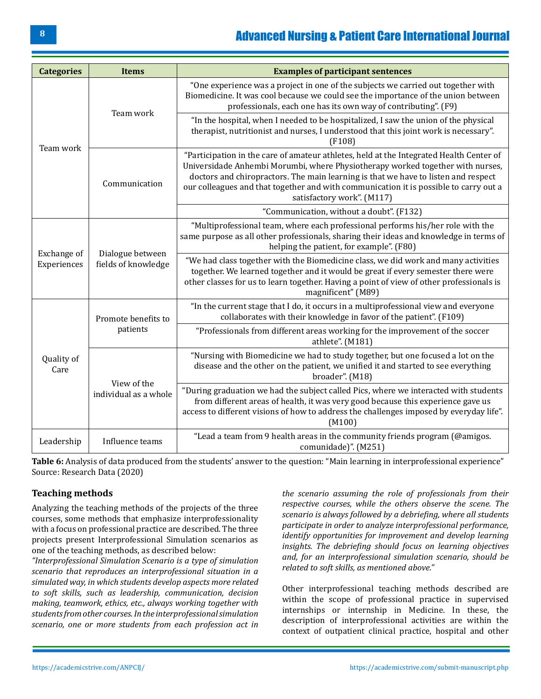# [Advanced Nursing & Patient Care International Journal](https://academicstrive.com/ANPCIJ/)

| <b>Categories</b>          | <b>Items</b>                            | <b>Examples of participant sentences</b>                                                                                                                                                                                                                                                                                                                                               |
|----------------------------|-----------------------------------------|----------------------------------------------------------------------------------------------------------------------------------------------------------------------------------------------------------------------------------------------------------------------------------------------------------------------------------------------------------------------------------------|
| Team work                  | Team work                               | "One experience was a project in one of the subjects we carried out together with<br>Biomedicine. It was cool because we could see the importance of the union between<br>professionals, each one has its own way of contributing". (F9)                                                                                                                                               |
|                            |                                         | "In the hospital, when I needed to be hospitalized, I saw the union of the physical<br>therapist, nutritionist and nurses, I understood that this joint work is necessary".<br>(F108)                                                                                                                                                                                                  |
|                            | Communication                           | "Participation in the care of amateur athletes, held at the Integrated Health Center of<br>Universidade Anhembi Morumbi, where Physiotherapy worked together with nurses,<br>doctors and chiropractors. The main learning is that we have to listen and respect<br>our colleagues and that together and with communication it is possible to carry out a<br>satisfactory work". (M117) |
|                            |                                         | "Communication, without a doubt". (F132)                                                                                                                                                                                                                                                                                                                                               |
| Exchange of<br>Experiences | Dialogue between<br>fields of knowledge | "Multiprofessional team, where each professional performs his/her role with the<br>same purpose as all other professionals, sharing their ideas and knowledge in terms of<br>helping the patient, for example". (F80)                                                                                                                                                                  |
|                            |                                         | "We had class together with the Biomedicine class, we did work and many activities<br>together. We learned together and it would be great if every semester there were<br>other classes for us to learn together. Having a point of view of other professionals is<br>magnificent" (M89)                                                                                               |
| Quality of<br>Care         | Promote benefits to                     | "In the current stage that I do, it occurs in a multiprofessional view and everyone<br>collaborates with their knowledge in favor of the patient". (F109)                                                                                                                                                                                                                              |
|                            | patients                                | "Professionals from different areas working for the improvement of the soccer<br>athlete". (M181)                                                                                                                                                                                                                                                                                      |
|                            | View of the<br>individual as a whole    | "Nursing with Biomedicine we had to study together, but one focused a lot on the<br>disease and the other on the patient, we unified it and started to see everything<br>broader". (M18)                                                                                                                                                                                               |
|                            |                                         | "During graduation we had the subject called Pics, where we interacted with students<br>from different areas of health, it was very good because this experience gave us<br>access to different visions of how to address the challenges imposed by everyday life".<br>(M100)                                                                                                          |
| Leadership                 | Influence teams                         | "Lead a team from 9 health areas in the community friends program (@amigos.<br>comunidade)". (M251)                                                                                                                                                                                                                                                                                    |

**Table 6:** Analysis of data produced from the students' answer to the question: "Main learning in interprofessional experience" Source: Research Data (2020)

## **Teaching methods**

Analyzing the teaching methods of the projects of the three courses, some methods that emphasize interprofessionality with a focus on professional practice are described. The three projects present Interprofessional Simulation scenarios as one of the teaching methods, as described below:

*"Interprofessional Simulation Scenario is a type of simulation scenario that reproduces an interprofessional situation in a simulated way, in which students develop aspects more related to soft skills, such as leadership, communication, decision making, teamwork, ethics, etc., always working together with students from other courses. In the interprofessional simulation scenario, one or more students from each profession act in* 

*the scenario assuming the role of professionals from their respective courses, while the others observe the scene. The scenario is always followed by a debriefing, where all students participate in order to analyze interprofessional performance, identify opportunities for improvement and develop learning insights. The debriefing should focus on learning objectives and, for an interprofessional simulation scenario, should be related to soft skills, as mentioned above."*

Other interprofessional teaching methods described are within the scope of professional practice in supervised internships or internship in Medicine. In these, the description of interprofessional activities are within the context of outpatient clinical practice, hospital and other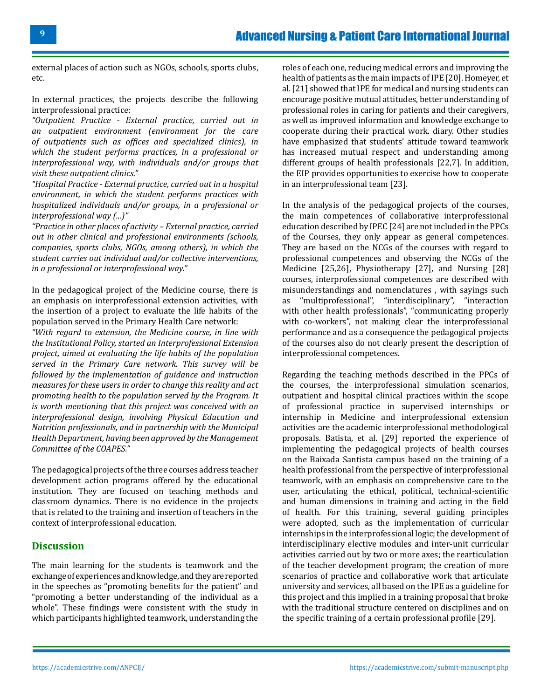external places of action such as NGOs, schools, sports clubs, etc.

In external practices, the projects describe the following interprofessional practice:

*"Outpatient Practice - External practice, carried out in an outpatient environment (environment for the care of outpatients such as offices and specialized clinics), in which the student performs practices, in a professional or interprofessional way, with individuals and/or groups that visit these outpatient clinics."*

*"Hospital Practice - External practice, carried out in a hospital environment, in which the student performs practices with hospitalized individuals and/or groups, in a professional or interprofessional way (...)"*

*"Practice in other places of activity – External practice, carried out in other clinical and professional environments (schools, companies, sports clubs, NGOs, among others), in which the student carries out individual and/or collective interventions, in a professional or interprofessional way."*

In the pedagogical project of the Medicine course, there is an emphasis on interprofessional extension activities, with the insertion of a project to evaluate the life habits of the population served in the Primary Health Care network:

*"With regard to extension, the Medicine course, in line with the Institutional Policy, started an Interprofessional Extension project, aimed at evaluating the life habits of the population served in the Primary Care network. This survey will be followed by the implementation of guidance and instruction measures for these users in order to change this reality and act promoting health to the population served by the Program. It is worth mentioning that this project was conceived with an interprofessional design, involving Physical Education and Nutrition professionals, and in partnership with the Municipal Health Department, having been approved by the Management Committee of the COAPES."*

The pedagogical projects of the three courses address teacher development action programs offered by the educational institution. They are focused on teaching methods and classroom dynamics. There is no evidence in the projects that is related to the training and insertion of teachers in the context of interprofessional education.

#### **Discussion**

The main learning for the students is teamwork and the exchange of experiences and knowledge, and they are reported in the speeches as "promoting benefits for the patient" and "promoting a better understanding of the individual as a whole". These findings were consistent with the study in which participants highlighted teamwork, understanding the

roles of each one, reducing medical errors and improving the health of patients as the main impacts of IPE [20]. Homeyer, et al. [21] showed that IPE for medical and nursing students can encourage positive mutual attitudes, better understanding of professional roles in caring for patients and their caregivers, as well as improved information and knowledge exchange to cooperate during their practical work. diary. Other studies have emphasized that students' attitude toward teamwork has increased mutual respect and understanding among different groups of health professionals [22,7]. In addition, the EIP provides opportunities to exercise how to cooperate in an interprofessional team [23].

In the analysis of the pedagogical projects of the courses, the main competences of collaborative interprofessional education described by IPEC [24] are not included in the PPCs of the Courses, they only appear as general competences. They are based on the NCGs of the courses with regard to professional competences and observing the NCGs of the Medicine [25,26], Physiotherapy [27], and Nursing [28] courses, interprofessional competences are described with misunderstandings and nomenclatures, with sayings such<br>as "multiprofessional" "interdisciplinary" "interaction "multiprofessional", "interdisciplinary", "interaction with other health professionals", "communicating properly with co-workers", not making clear the interprofessional performance and as a consequence the pedagogical projects of the courses also do not clearly present the description of interprofessional competences.

Regarding the teaching methods described in the PPCs of the courses, the interprofessional simulation scenarios, outpatient and hospital clinical practices within the scope of professional practice in supervised internships or internship in Medicine and interprofessional extension activities are the academic interprofessional methodological proposals. Batista, et al. [29] reported the experience of implementing the pedagogical projects of health courses on the Baixada Santista campus based on the training of a health professional from the perspective of interprofessional teamwork, with an emphasis on comprehensive care to the user, articulating the ethical, political, technical-scientific and human dimensions in training and acting in the field of health. For this training, several guiding principles were adopted, such as the implementation of curricular internships in the interprofessional logic; the development of interdisciplinary elective modules and inter-unit curricular activities carried out by two or more axes; the rearticulation of the teacher development program; the creation of more scenarios of practice and collaborative work that articulate university and services, all based on the IPE as a guideline for this project and this implied in a training proposal that broke with the traditional structure centered on disciplines and on the specific training of a certain professional profile [29].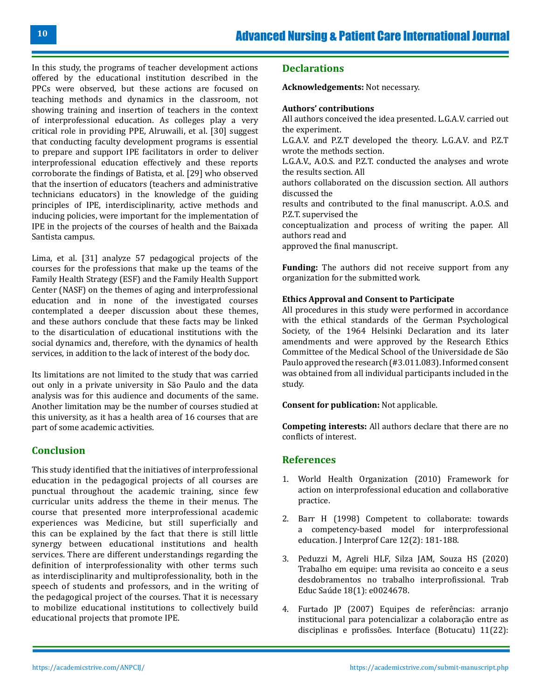In this study, the programs of teacher development actions offered by the educational institution described in the PPCs were observed, but these actions are focused on teaching methods and dynamics in the classroom, not showing training and insertion of teachers in the context of interprofessional education. As colleges play a very critical role in providing PPE, Alruwaili, et al. [30] suggest that conducting faculty development programs is essential to prepare and support IPE facilitators in order to deliver interprofessional education effectively and these reports corroborate the findings of Batista, et al. [29] who observed that the insertion of educators (teachers and administrative technicians educators) in the knowledge of the guiding principles of IPE, interdisciplinarity, active methods and inducing policies, were important for the implementation of IPE in the projects of the courses of health and the Baixada Santista campus.

Lima, et al. [31] analyze 57 pedagogical projects of the courses for the professions that make up the teams of the Family Health Strategy (ESF) and the Family Health Support Center (NASF) on the themes of aging and interprofessional education and in none of the investigated courses contemplated a deeper discussion about these themes, and these authors conclude that these facts may be linked to the disarticulation of educational institutions with the social dynamics and, therefore, with the dynamics of health services, in addition to the lack of interest of the body doc.

Its limitations are not limited to the study that was carried out only in a private university in São Paulo and the data analysis was for this audience and documents of the same. Another limitation may be the number of courses studied at this university, as it has a health area of 16 courses that are part of some academic activities.

# **Conclusion**

This study identified that the initiatives of interprofessional education in the pedagogical projects of all courses are punctual throughout the academic training, since few curricular units address the theme in their menus. The course that presented more interprofessional academic experiences was Medicine, but still superficially and this can be explained by the fact that there is still little synergy between educational institutions and health services. There are different understandings regarding the definition of interprofessionality with other terms such as interdisciplinarity and multiprofessionality, both in the speech of students and professors, and in the writing of the pedagogical project of the courses. That it is necessary to mobilize educational institutions to collectively build educational projects that promote IPE.

#### **Declarations**

**Acknowledgements:** Not necessary.

#### **Authors' contributions**

All authors conceived the idea presented. L.G.A.V. carried out the experiment. L.G.A.V. and P.Z.T developed the theory. L.G.A.V. and P.Z.T wrote the methods section. L.G.A.V., A.O.S. and P.Z.T. conducted the analyses and wrote the results section. All authors collaborated on the discussion section. All authors discussed the results and contributed to the final manuscript. A.O.S. and P.Z.T. supervised the conceptualization and process of writing the paper. All authors read and approved the final manuscript.

**Funding:** The authors did not receive support from any organization for the submitted work.

#### **Ethics Approval and Consent to Participate**

All procedures in this study were performed in accordance with the ethical standards of the German Psychological Society, of the 1964 Helsinki Declaration and its later amendments and were approved by the Research Ethics Committee of the Medical School of the Universidade de São Paulo approved the research (#3.011.083). Informed consent was obtained from all individual participants included in the study.

**Consent for publication:** Not applicable.

**Competing interests:** All authors declare that there are no conflicts of interest.

## **References**

- 1. [World Health Organization \(2010\) Framework for](http://apps.who.int/iris/bitstream/handle/10665/70185/WHO_HRH_HPN_10.3_eng.pdf;jsessionid=6F45849AEEA6090F2E3823997DA9CBFE?sequence=1) [action on interprofessional education and collaborative](http://apps.who.int/iris/bitstream/handle/10665/70185/WHO_HRH_HPN_10.3_eng.pdf;jsessionid=6F45849AEEA6090F2E3823997DA9CBFE?sequence=1)  [practice.](http://apps.who.int/iris/bitstream/handle/10665/70185/WHO_HRH_HPN_10.3_eng.pdf;jsessionid=6F45849AEEA6090F2E3823997DA9CBFE?sequence=1)
- 2. [Barr H \(1998\) Competent to collaborate: towards](https://neipc.ufes.br/sites/neipc.ufes.br/files/field/anexo/competent_to_collaborate.pdf)  [a competency-based model for interprofessional](https://neipc.ufes.br/sites/neipc.ufes.br/files/field/anexo/competent_to_collaborate.pdf) [education. J Interprof Care 12\(2\): 181-188.](https://neipc.ufes.br/sites/neipc.ufes.br/files/field/anexo/competent_to_collaborate.pdf)
- 3. [Peduzzi M, Agreli HLF, Silza JAM, Souza HS \(2020\)](https://www.scielo.br/j/tes/a/RLtz36Ng9sNLHknn6hLBQvr/?lang=pt) [Trabalho em equipe: uma revisita ao conceito e a seus](https://www.scielo.br/j/tes/a/RLtz36Ng9sNLHknn6hLBQvr/?lang=pt) [desdobramentos no trabalho interprofissional. Trab](https://www.scielo.br/j/tes/a/RLtz36Ng9sNLHknn6hLBQvr/?lang=pt)  [Educ Saúde 18\(1\): e0024678.](https://www.scielo.br/j/tes/a/RLtz36Ng9sNLHknn6hLBQvr/?lang=pt)
- 4. [Furtado JP \(2007\) Equipes de referências: arranjo](https://www.scielo.br/j/icse/a/NMxT747jtM8xfpFsxWshvyt/abstract/?lang=pt)  [institucional para potencializar a colaboração entre as](https://www.scielo.br/j/icse/a/NMxT747jtM8xfpFsxWshvyt/abstract/?lang=pt)  [disciplinas e profissões. Interface \(Botucatu\) 11\(22\):](https://www.scielo.br/j/icse/a/NMxT747jtM8xfpFsxWshvyt/abstract/?lang=pt)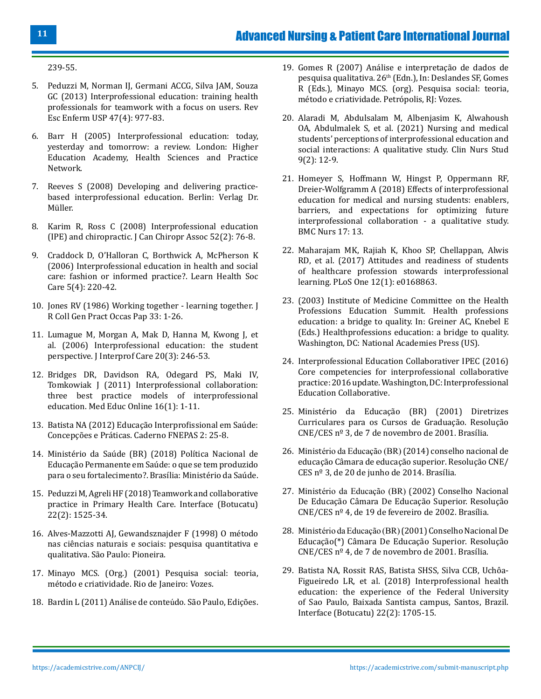[239-55.](https://www.scielo.br/j/icse/a/NMxT747jtM8xfpFsxWshvyt/abstract/?lang=pt)

- 5. [Peduzzi M, Norman IJ, Germani ACCG, Silva JAM, Souza](https://pubmed.ncbi.nlm.nih.gov/24310699/) [GC \(2013\) Interprofessional education: training health](https://pubmed.ncbi.nlm.nih.gov/24310699/) [professionals for teamwork with a focus on users.](https://pubmed.ncbi.nlm.nih.gov/24310699/) Rev [Esc Enferm USP 47\(4\): 977-83.](https://pubmed.ncbi.nlm.nih.gov/24310699/)
- 6. [Barr H \(2005\) Interprofessional education: today,](https://www.unmc.edu/bhecn/_documents/ipe-today-yesterday-tmmw-barr.pdf) [yesterday and tomorrow: a review. London: Higher](https://www.unmc.edu/bhecn/_documents/ipe-today-yesterday-tmmw-barr.pdf) [Education Academy, Health Sciences and Practice](https://www.unmc.edu/bhecn/_documents/ipe-today-yesterday-tmmw-barr.pdf) [Network.](https://www.unmc.edu/bhecn/_documents/ipe-today-yesterday-tmmw-barr.pdf)
- 7. [Reeves S \(2008\) Developing and delivering practice](https://www.morebooks.de/store/gb/book/developing-and-delivering-practice-based-interprofessional-education/isbn/978-3-8364-8110-6)[based interprofessional education. Berlin: Verlag Dr.](https://www.morebooks.de/store/gb/book/developing-and-delivering-practice-based-interprofessional-education/isbn/978-3-8364-8110-6) [Müller.](https://www.morebooks.de/store/gb/book/developing-and-delivering-practice-based-interprofessional-education/isbn/978-3-8364-8110-6)
- 8. [Karim R, Ross C \(2008\) Interprofessional education](https://www.ncbi.nlm.nih.gov/pmc/articles/PMC2391014/) [\(IPE\) and chiropractic. J Can Chiropr Assoc 52\(2\): 76-8.](https://www.ncbi.nlm.nih.gov/pmc/articles/PMC2391014/)
- 9. [Craddock D, O'Halloran C, Borthwick A, McPherson K](http://eprints.hud.ac.uk/id/eprint/662/) [\(2006\) Interprofessional education in health and social](http://eprints.hud.ac.uk/id/eprint/662/) [care: fashion or informed practice?. Learn Health Soc](http://eprints.hud.ac.uk/id/eprint/662/) [Care 5\(4\): 220-42.](http://eprints.hud.ac.uk/id/eprint/662/)
- 10. [Jones RV \(1986\) Working together learning together. J](https://pubmed.ncbi.nlm.nih.gov/2577939/) [R Coll Gen Pract Occas Pap 33: 1-26.](https://pubmed.ncbi.nlm.nih.gov/2577939/)
- 11. [Lumague M, Morgan A, Mak D, Hanna M, Kwong J, et](https://pubmed.ncbi.nlm.nih.gov/16777792/) [al. \(2006\) Interprofessional education: the student](https://pubmed.ncbi.nlm.nih.gov/16777792/) [perspective. J Interprof Care 20\(3\): 246-53.](https://pubmed.ncbi.nlm.nih.gov/16777792/)
- 12. [Bridges DR, Davidson RA, Odegard PS, Maki IV,](https://www.ncbi.nlm.nih.gov/pmc/articles/PMC3081249/) [Tomkowiak J \(2011\) Interprofessional collaboration:](https://www.ncbi.nlm.nih.gov/pmc/articles/PMC3081249/) [three best practice models of interprofessional](https://www.ncbi.nlm.nih.gov/pmc/articles/PMC3081249/) [education. Med Educ Online 16\(1\): 1-11.](https://www.ncbi.nlm.nih.gov/pmc/articles/PMC3081249/)
- 13. [Batista NA \(2012\) Educação Interprofissional em Saúde:](https://edisciplinas.usp.br/pluginfile.php/4298824/mod_resource/content/1/educacao_interprofissional.pdf) [Concepções e Práticas. Caderno FNEPAS 2: 25-8.](https://edisciplinas.usp.br/pluginfile.php/4298824/mod_resource/content/1/educacao_interprofissional.pdf)
- 14. [Ministério da Saúde \(BR\) \(2018\) Política Nacional de](https://bvsms.saude.gov.br/bvs/publicacoes/politica_nacional_educacao_permanente_saude_fortalecimento.pdf) [Educação Permanente em Saúde: o que se tem produzido](https://bvsms.saude.gov.br/bvs/publicacoes/politica_nacional_educacao_permanente_saude_fortalecimento.pdf) [para o seu fortalecimento?. Brasília: Ministério da Saúde.](https://bvsms.saude.gov.br/bvs/publicacoes/politica_nacional_educacao_permanente_saude_fortalecimento.pdf)
- 15. [Peduzzi M, Agreli HF \(2018\) Teamwork and collaborative](https://www.scielo.br/j/icse/a/MR86fMrvpMcJFSR7NNWPbqh/?format=pdf&lang=en) [practice in Primary Health Care. Interface \(Botucatu\)](https://www.scielo.br/j/icse/a/MR86fMrvpMcJFSR7NNWPbqh/?format=pdf&lang=en) [22\(2\): 1525-34.](https://www.scielo.br/j/icse/a/MR86fMrvpMcJFSR7NNWPbqh/?format=pdf&lang=en)
- 16. [Alves-Mazzotti AJ, Gewandsznajder F \(1998\) O método](https://edisciplinas.usp.br/pluginfile.php/4630889/mod_resource/content/4/Mazzotti_Gewandsznajder_Paradigmas.PDF) [nas ciências naturais e sociais: pesquisa quantitativa e](https://edisciplinas.usp.br/pluginfile.php/4630889/mod_resource/content/4/Mazzotti_Gewandsznajder_Paradigmas.PDF) [qualitativa. São Paulo: Pioneira.](https://edisciplinas.usp.br/pluginfile.php/4630889/mod_resource/content/4/Mazzotti_Gewandsznajder_Paradigmas.PDF)
- 17. [Minayo MCS. \(Org.\) \(2001\) Pesquisa social: teoria,](https://wp.ufpel.edu.br/franciscovargas/files/2012/11/pesquisa-social.pdf) [método e criatividade. Rio de Janeiro: Vozes.](https://wp.ufpel.edu.br/franciscovargas/files/2012/11/pesquisa-social.pdf)
- 18. [Bardin L \(2011\) An](https://ia802902.us.archive.org/8/items/bardin-laurence-analise-de-conteudo/bardin-laurence-analise-de-conteudo.pdf)álise de conteúdo*.* São Paulo, Edições.
- 19. Gomes R (2007) Análise e interpretação de dados de pesquisa qualitativa. 26<sup>th</sup> (Edn.), In: Deslandes SF, Gomes R (Eds.), Minayo MCS. (org). Pesquisa social: teoria, método e criatividade. Petrópolis, RJ: Vozes.
- 20. [Alaradi M, Abdulsalam M, Albenjasim K, Alwahoush](https://www.sciedupress.com/journal/index.php/cns/article/view/20638) [OA, Abdulmalek S, et al. \(2021\) Nursing and medical](https://www.sciedupress.com/journal/index.php/cns/article/view/20638) [students' perceptions of interprofessional education and](https://www.sciedupress.com/journal/index.php/cns/article/view/20638)  [social interactions: A qualitative study. Clin Nurs Stud](https://www.sciedupress.com/journal/index.php/cns/article/view/20638)  [9\(2\): 12-9.](https://www.sciedupress.com/journal/index.php/cns/article/view/20638)
- 21. [Homeyer S, Hoffmann W, Hingst P, Oppermann RF,](https://pubmed.ncbi.nlm.nih.gov/29643742/)  [Dreier-Wolfgramm A \(2018\) Effects of interprofessional](https://pubmed.ncbi.nlm.nih.gov/29643742/) [education for medical and nursing students: enablers,](https://pubmed.ncbi.nlm.nih.gov/29643742/)  [barriers, and expectations for optimizing future](https://pubmed.ncbi.nlm.nih.gov/29643742/) [interprofessional collaboration - a qualitative study.](https://pubmed.ncbi.nlm.nih.gov/29643742/) [BMC Nurs 17: 13.](https://pubmed.ncbi.nlm.nih.gov/29643742/)
- 22. [Maharajam MK, Rajiah K, Khoo SP, Chellappan, Alwis](https://journals.plos.org/plosone/article?id=10.1371/journal.pone.0168863)  [RD, et al. \(2017\) Attitudes and readiness of students](https://journals.plos.org/plosone/article?id=10.1371/journal.pone.0168863) [of healthcare profession stowards interprofessional](https://journals.plos.org/plosone/article?id=10.1371/journal.pone.0168863) learning. [PLoS One 12\(1\): e0168863.](https://journals.plos.org/plosone/article?id=10.1371/journal.pone.0168863)
- 23. (2003) Institute of Medicine Committee on the Health Professions Education Summit. Health professions education: a bridge to quality. In: Greiner AC, Knebel E (Eds.) Healthprofessions education: a bridge to quality. Washington, DC: National Academies Press (US).
- 24. [Interprofessional Education Collaborativer IPEC \(2016\)](https://hsc.unm.edu/ipe/resources/ipec-2016-core-competencies.pdf) [Core competencies for interprofessional collaborative](https://hsc.unm.edu/ipe/resources/ipec-2016-core-competencies.pdf) [practice: 2016 update. Washington, DC: Interprofessional](https://hsc.unm.edu/ipe/resources/ipec-2016-core-competencies.pdf) [Education Collaborative.](https://hsc.unm.edu/ipe/resources/ipec-2016-core-competencies.pdf)
- 25. [Ministério da Educação \(BR\) \(2001\) Diretrizes](http://portal.mec.gov.br/cne/arquivos/pdf/CES03.pdf) [Curriculares para os Cursos de Graduação. Resolução](http://portal.mec.gov.br/cne/arquivos/pdf/CES03.pdf) [CNE/CES nº 3, de 7 de novembro de 2001. Brasília.](http://portal.mec.gov.br/cne/arquivos/pdf/CES03.pdf)
- 26. Ministério da Educação (BR) [\(2014\) conselho nacional de](http://portal.mec.gov.br/index.php?option=com_docman&view=download&alias=15874-rces003-14&category_slug=junho-2014-pdf&Itemid=30192) [educação Câmara de educação superior.](http://portal.mec.gov.br/index.php?option=com_docman&view=download&alias=15874-rces003-14&category_slug=junho-2014-pdf&Itemid=30192) Resolução CNE/ CES nº [3, de 20 de junho de 2014. Brasília.](http://portal.mec.gov.br/index.php?option=com_docman&view=download&alias=15874-rces003-14&category_slug=junho-2014-pdf&Itemid=30192)
- 27. Ministério da Educação (BR) [\(2002\) Conselho Nacional](http://portal.mec.gov.br/cne/arquivos/pdf/CES042002.pdf)  [De Educação Câmara De Educação Superior. Resolução](http://portal.mec.gov.br/cne/arquivos/pdf/CES042002.pdf)  [CNE/CES nº 4, de 19 de fevereiro de 2002. Brasília.](http://portal.mec.gov.br/cne/arquivos/pdf/CES042002.pdf)
- 28. Ministério da Educação (BR) [\(2001\) Conselho Nacional De](http://portal.mec.gov.br/cne/arquivos/pdf/CES04.pdf)  [Educação\(\\*\) Câmara De Educação Superior.](http://portal.mec.gov.br/cne/arquivos/pdf/CES04.pdf) Resolução [CNE/CES nº 4, de 7 de novembro de 2001. Brasília.](http://portal.mec.gov.br/cne/arquivos/pdf/CES04.pdf)
- 29. [Batista NA, Rossit RAS, Batista SHSS, Silva CCB, Uchôa-](https://www.scielo.br/j/icse/a/FJ5cbRRzrx4GmjhVNp97jvf/?format=pdf&lang=en)[Figueiredo LR, et al. \(2018\) Interprofessional health](https://www.scielo.br/j/icse/a/FJ5cbRRzrx4GmjhVNp97jvf/?format=pdf&lang=en)  [education: the experience of the Federal University](https://www.scielo.br/j/icse/a/FJ5cbRRzrx4GmjhVNp97jvf/?format=pdf&lang=en) [of Sao Paulo, Baixada Santista campus, Santos, Brazil.](https://www.scielo.br/j/icse/a/FJ5cbRRzrx4GmjhVNp97jvf/?format=pdf&lang=en)  [Interface \(Botucatu\) 22\(2\): 1705-15.](https://www.scielo.br/j/icse/a/FJ5cbRRzrx4GmjhVNp97jvf/?format=pdf&lang=en)